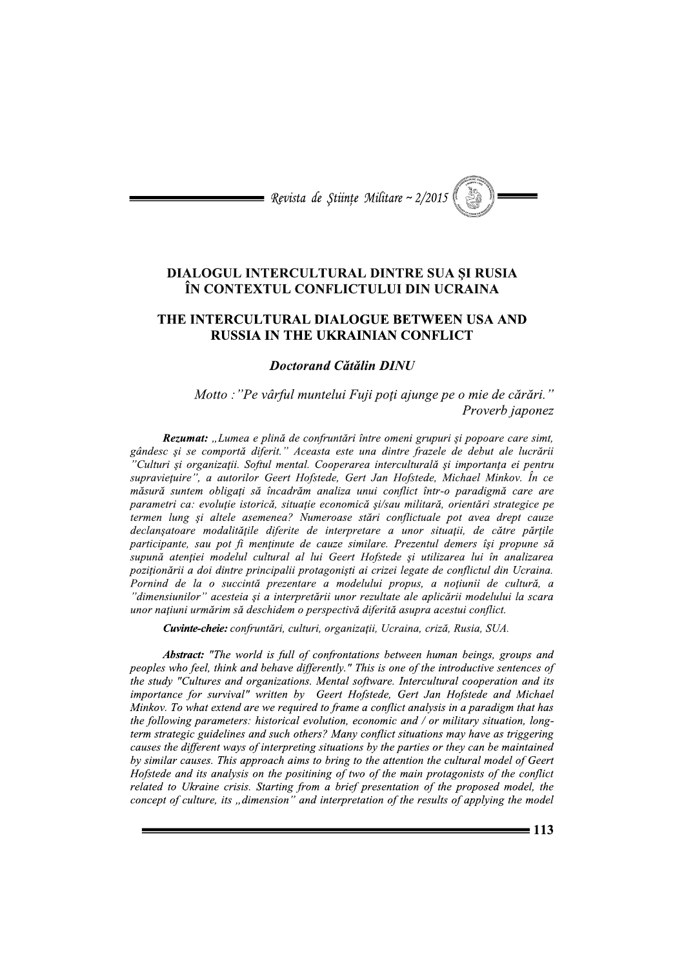

## **DIALOGUL INTERCULTURAL DINTRE SUA SI RUSIA** ÎN CONTEXTUL CONFLICTULUI DIN UCRAINA

## THE INTERCULTURAL DIALOGUE BETWEEN USA AND **RUSSIA IN THE UKRAINIAN CONFLICT**

## **Doctorand Cătălin DINU**

Motto : "Pe vârful muntelui Fuji poți ajunge pe o mie de cărări." Proverb japonez

Rezumat: "Lumea e plină de confruntări între omeni grupuri și popoare care simt, gândesc și se comportă diferit." Aceasta este una dintre frazele de debut ale lucrării Culturi și organizații. Softul mental. Cooperarea interculturală și importanța ei pentru supravietuire", a autorilor Geert Hofstede, Gert Jan Hofstede, Michael Minkov. În ce măsură suntem obligați să încadrăm analiza unui conflict într-o paradigmă care are parametri ca: evoluție istorică, situație economică și/sau militară, orientări strategice pe termen lung și altele asemenea? Numeroase stări conflictuale pot avea drept cauze declanșatoare modalitățile diferite de interpretare a unor situații, de către părțile participante, sau pot fi mentinute de cauze similare. Prezentul demers își propune să supună atenției modelul cultural al lui Geert Hofstede și utilizarea lui în analizarea poziționării a doi dintre principalii protagoniști ai crizei legate de conflictul din Ucraina. Pornind de la o succintă prezentare a modelului propus, a noțiunii de cultură, a "dimensiunilor" acesteia si a interpretării unor rezultate ale aplicării modelului la scara unor națiuni urmărim să deschidem o perspectivă diferită asupra acestui conflict.

Cuvinte-cheie: confruntări, culturi, organizații, Ucraina, criză, Rusia, SUA.

**Abstract:** "The world is full of confrontations between human beings, groups and peoples who feel, think and behave differently." This is one of the introductive sentences of the study "Cultures and organizations. Mental software. Intercultural cooperation and its importance for survival" written by Geert Hofstede, Gert Jan Hofstede and Michael Minkov. To what extend are we required to frame a conflict analysis in a paradigm that has the following parameters: historical evolution, economic and / or military situation, longterm strategic guidelines and such others? Many conflict situations may have as triggering causes the different ways of interpreting situations by the parties or they can be maintained by similar causes. This approach aims to bring to the attention the cultural model of Geert Hofstede and its analysis on the positining of two of the main protagonists of the conflict related to Ukraine crisis. Starting from a brief presentation of the proposed model, the concept of culture, its "dimension" and interpretation of the results of applying the model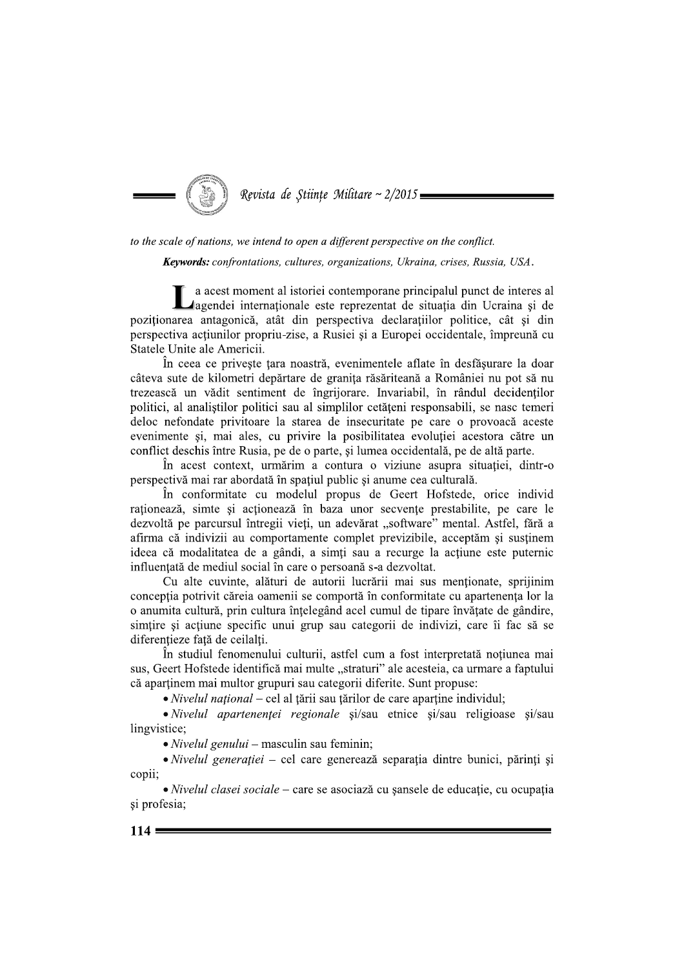

to the scale of nations, we intend to open a different perspective on the conflict.

Keywords: confrontations, cultures, organizations, Ukraina, crises, Russia, USA.

a acest moment al istoriei contemporane principalul punct de interes al ⊿agendei internaționale este reprezentat de situația din Ucraina și de poziționarea antagonică, atât din perspectiva declarațiilor politice, cât și din perspectiva acțiunilor propriu-zise, a Rusiei și a Europei occidentale, împreună cu Statele Unite ale Americii.

În ceea ce priveste tara noastră, evenimentele aflate în desfășurare la doar câteva sute de kilometri depărtare de granița răsăriteană a României nu pot să nu trezească un vădit sentiment de îngrijorare. Invariabil, în rândul decidenților politici, al analistilor politici sau al simplilor cetățeni responsabili, se nasc temeri deloc nefondate privitoare la starea de insecuritate pe care o provoaçã aceste evenimente si, mai ales, cu privire la posibilitatea evolutiei acestora către un conflict deschis între Rusia, pe de o parte, și lumea occidentală, pe de altă parte.

În acest context, urmărim a contura o viziune asupra situatiei, dintr-o perspectivă mai rar abordată în spațiul public și anume cea culturală.

În conformitate cu modelul propus de Geert Hofstede, orice individ raționează, simte și acționează în baza unor secvențe prestabilite, pe care le dezvoltă pe parcursul întregii vieți, un adevărat "software" mental. Astfel, fără a afirma că indivizii au comportamente complet previzibile, acceptăm și sustinem ideea că modalitatea de a gândi, a simți sau a recurge la acțiune este puternic influentată de mediul social în care o persoană s-a dezvoltat.

Cu alte cuvinte, alături de autorii lucrării mai sus menționate, sprijinim conceptia potrivit căreia oamenii se comportă în conformitate cu apartenența lor la o anumita cultură, prin cultura înțelegând acel cumul de tipare învățate de gândire, simtire si actiune specific unui grup sau categorii de indivizi, care îi fac să se diferentieze fată de ceilalti.

În studiul fenomenului culturii, astfel cum a fost interpretată notiunea mai sus, Geert Hofstede identifică mai multe "straturi" ale acesteia, ca urmare a faptului că aparținem mai multor grupuri sau categorii diferite. Sunt propuse:

• Nivelul național – cel al țării sau țărilor de care aparține individul;

• Nivelul apartenenței regionale si/sau etnice si/sau religioase si/sau lingvistice;

 $\bullet$  *Nivelul genului* – masculin sau feminin;

· Nivelul generației – cel care generează separația dintre bunici, părinți și copii:

· Nivelul clasei sociale – care se asociază cu sansele de educație, cu ocupația și profesia;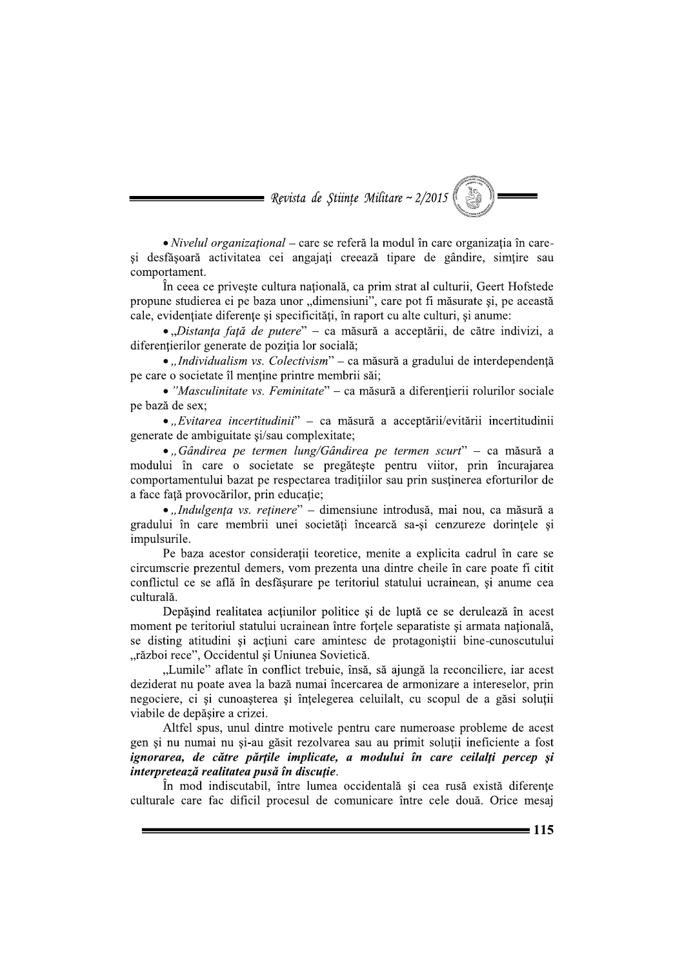Revista de Stiințe Militare ~  $2/2015$ 

· Nivelul organizațional - care se referă la modul în care organizația în careși desfășoară activitatea cei angajați creează tipare de gândire, simțire sau comportament.

În ceea ce priveste cultura natională, ca prim strat al culturii, Geert Hofstede propune studierea ei pe baza unor "dimensiuni", care pot fi măsurate și, pe această cale, evidențiate diferențe și specificități, în raport cu alte culturi, și anume:

· "Distanța față de putere" – ca măsură a acceptării, de către indivizi, a diferentierilor generate de poziția lor socială;

• "Individualism vs. Colectivism" – ca măsură a gradului de interdependentă pe care o societate îl menține printre membrii săi;

· "Masculinitate vs. Feminitate" – ca măsură a diferențierii rolurilor sociale pe bază de sex;

• "Evitarea incertitudinii" – ca măsură a acceptării/evitării incertitudinii generate de ambiguitate si/sau complexitate;

· "Gândirea pe termen lung/Gândirea pe termen scurt" - ca măsură a modului în care o societate se pregătește pentru viitor, prin încurajarea comportamentului bazat pe respectarea traditiilor sau prin sustinerea eforturilor de a face față provocărilor, prin educație;

· "Indulgența vs. reținere" - dimensiune introdusă, mai nou, ca măsură a gradului în care membrii unei societăți încearcă sa-si cenzureze dorințele și impulsurile.

Pe baza acestor considerații teoretice, menite a explicita cadrul în care se circumscrie prezentul demers, vom prezenta una dintre cheile în care poate fi citit conflictul ce se află în desfășurare pe teritoriul statului ucrainean, și anume cea culturală.

Depăsind realitatea actiunilor politice și de luptă ce se derulează în acest moment pe teritoriul statului ucrainean între forțele separatiste și armata națională, se disting atitudini si actiuni care amintesc de protagonistii bine-cunoscutului "război rece", Occidentul și Uniunea Sovietică.

"Lumile" aflate în conflict trebuie, însă, să ajungă la reconciliere, iar acest deziderat nu poate avea la bază numai încercarea de armonizare a intereselor, prin negociere, ci si cunoasterea si întelegerea celuilalt, cu scopul de a găsi solutii viabile de depășire a crizei.

Altfel spus, unul dintre motivele pentru care numeroase probleme de acest gen și nu numai nu și-au găsit rezolvarea sau au primit soluții ineficiente a fost ignorarea, de către părtile implicate, a modului în care ceilalti percep și interpretează realitatea pusă în discuție.

În mod indiscutabil, între lumea occidentală și cea rusă există diferente culturale care fac dificil procesul de comunicare între cele două. Orice mesaj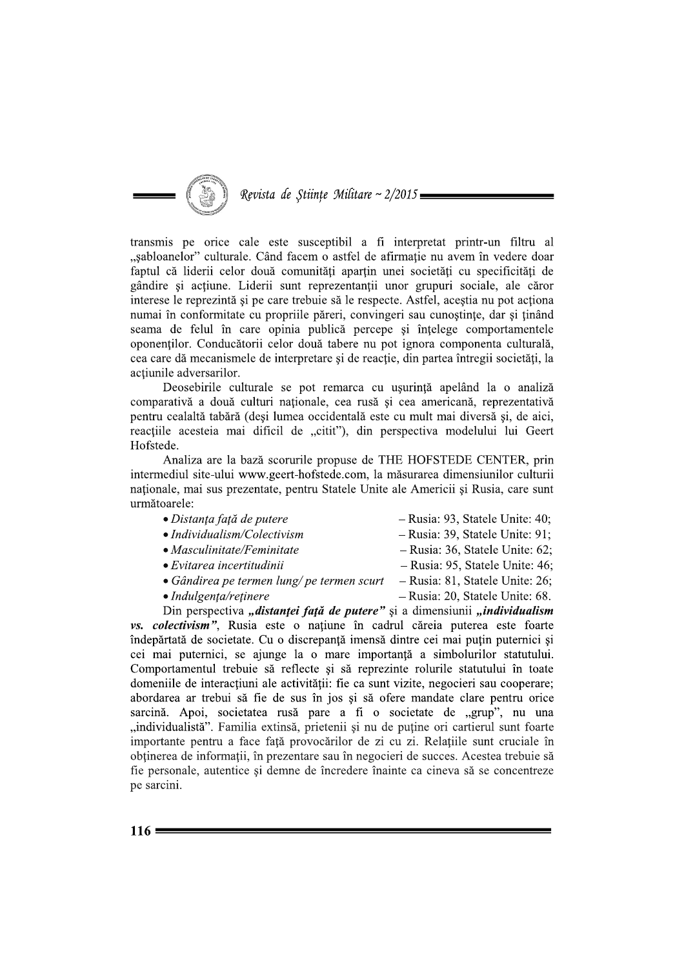

transmis pe orice cale este susceptibil a fi interpretat printr-un filtru al "sabloanelor" culturale. Când facem o astfel de afirmație nu avem în vedere doar faptul că liderii celor două comunități apartin unei societăți cu specificități de gândire și acțiune. Liderii sunt reprezentanții unor grupuri sociale, ale căror interese le reprezintă și pe care trebuie să le respecte. Astfel, acestia nu pot actiona numai în conformitate cu propriile păreri, convingeri sau cunoștințe, dar și ținând seama de felul în care opinia publică percepe și înțelege comportamentele oponenților. Conducătorii celor două tabere nu pot ignora componenta culturală, cea care dă mecanismele de interpretare și de reacție, din partea întregii societăți, la actiunile adversarilor.

Deosebirile culturale se pot remarca cu ușurință apelând la o analiză comparativă a două culturi naționale, cea rusă și cea americană, reprezentativă pentru cealaltă tabără (deși lumea occidentală este cu mult mai diversă și, de aici, reacțiile acesteia mai dificil de "citit"), din perspectiva modelului lui Geert Hofstede.

Analiza are la bază scorurile propuse de THE HOFSTEDE CENTER, prin intermediul site-ului www.geert-hofstede.com. la măsurarea dimensiunilor culturii naționale, mai sus prezentate, pentru Statele Unite ale Americii și Rusia, care sunt următoarele:

- Distanța față de putere
- $\bullet$  Individualism/Colectivism
- $\bullet$  Masculinitate/Feminitate
- $\bullet$  Evitarea incertitudinii
- Gândirea pe termen lung/pe termen scurt
	-
- Rusia: 81, Statele Unite: 26; - Rusia: 20, Statele Unite: 68.

 $-$  Rusia: 93, Statele Unite: 40;

- Rusia: 39, Statele Unite: 91;  $-$  Rusia: 36, Statele Unite: 62;

 $-$  Rusia: 95, Statele Unite: 46;

 $\bullet$  Indulgenta/retinere

Din perspectiva "distantei față de putere" și a dimensiunii "individualism vs. colectivism", Rusia este o națiune în cadrul căreia puterea este foarte îndepărtată de societate. Cu o discrepanță imensă dintre cei mai puțin puternici și cei mai puternici, se aiunge la o mare importantă a simbolurilor statutului. Comportamentul trebuie să reflecte și să reprezinte rolurile statutului în toate domeniile de interactiuni ale activității: fie ca sunt vizite, negocieri sau cooperare; abordarea ar trebui să fie de sus în jos și să ofere mandate clare pentru orice sarcină. Apoi, societatea rusă pare a fi o societate de "grup", nu una "individualistă". Familia extinsă, prietenii și nu de puține ori cartierul sunt foarte importante pentru a face față provocărilor de zi cu zi. Relațiile sunt cruciale în obținerea de informații, în prezentare sau în negocieri de succes. Acestea trebuie să fie personale, autentice și demne de încredere înainte ca cineva să se concentreze pe sarcini.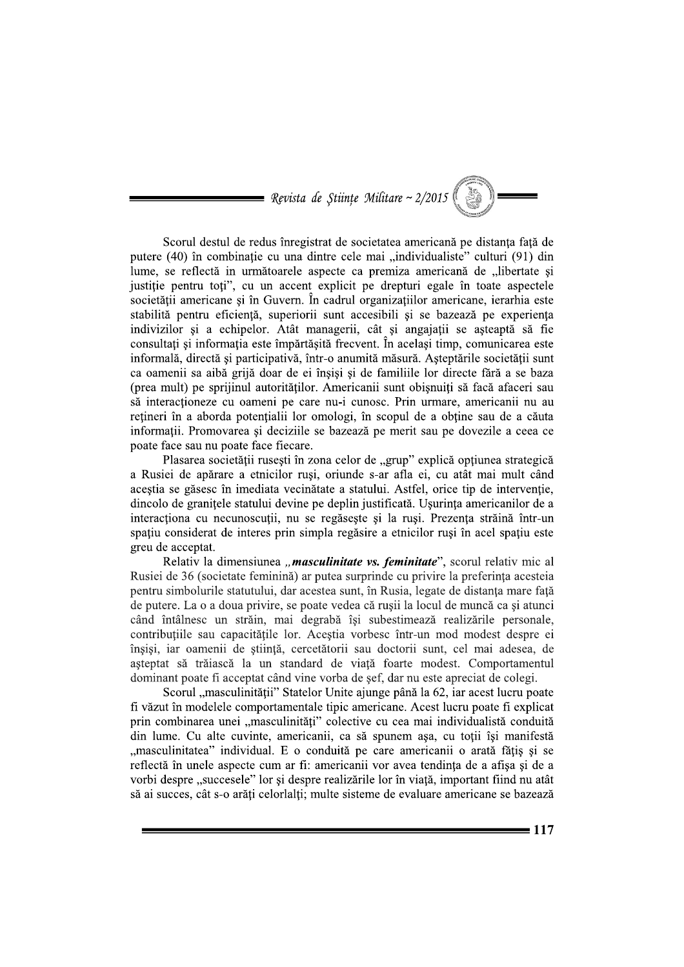= Revista de Stiințe Militare ~  $2/2015$ 

Scorul destul de redus înregistrat de societatea americană pe distanța față de putere (40) în combinație cu una dintre cele mai "individualiste" culturi (91) din lume, se reflectă in următoarele aspecte ca premiza americană de "libertate si justiție pentru toți", cu un accent explicit pe drepturi egale în toate aspectele societății americane și în Guvern. În cadrul organizațiilor americane, ierarhia este stabilită pentru eficiență, superiorii sunt accesibili și se bazează pe experiența indivizilor și a echipelor. Atât managerii, cât și angajații se așteaptă să fie consultați și informația este împărtășită frecvent. În același timp, comunicarea este informală, directă și participativă, într-o anumită măsură. Așteptările societății sunt ca oamenii sa aibă grijă doar de ei înșiși și de familiile lor directe fără a se baza (prea mult) pe sprijinul autorităților. Americanii sunt obișnuiți să facă afaceri sau să interacționeze cu oameni pe care nu-i cunosc. Prin urmare, americanii nu au retineri în a aborda potentialii lor omologi, în scopul de a obtine sau de a căuta informații. Promovarea și deciziile se bazează pe merit sau pe dovezile a ceea ce poate face sau nu poate face fiecare.

Plasarea societății rusești în zona celor de "grup" explică opțiunea strategică a Rusiei de apărare a etnicilor ruși, oriunde s-ar afla ei, cu atât mai mult când aceștia se găsesc în imediata vecinătate a statului. Astfel, orice tip de intervenție, dincolo de granitele statului devine pe deplin justificată. Usurința americanilor de a interacționa cu necunoscuții, nu se regăsește și la ruși. Prezența străină într-un spațiu considerat de interes prin simpla regăsire a etnicilor ruși în acel spațiu este greu de acceptat.

Relativ la dimensiunea "masculinitate vs. feminitate", scorul relativ mic al Rusiei de 36 (societate feminină) ar putea surprinde cu privire la preferința acesteia pentru simbolurile statutului, dar acestea sunt, în Rusia, legate de distanța mare față de putere. La o a doua privire, se poate vedea că rușii la locul de muncă ca și atunci când întâlnesc un străin, mai degrabă își subestimează realizările personale, contribuțiile sau capacitățile lor. Aceștia vorbesc într-un mod modest despre ei înșiși, iar oamenii de știință, cercetătorii sau doctorii sunt, cel mai adesea, de așteptat să trăiască la un standard de viață foarte modest. Comportamentul dominant poate fi acceptat când vine vorba de sef, dar nu este apreciat de colegi.

Scorul "masculinității" Statelor Unite ajunge până la 62, iar acest lucru poate fi văzut în modelele comportamentale tipic americane. Acest lucru poate fi explicat prin combinarea unei "masculinități" colective cu cea mai individualistă conduită din lume. Cu alte cuvinte, americanii, ca să spunem așa, cu toții își manifestă "masculinitatea" individual. E o conduită pe care americanii o arată fătis și se reflectă în unele aspecte cum ar fi: americanii vor avea tendinta de a afisa si de a vorbi despre "succesele" lor si despre realizările lor în viată, important fiind nu atât să ai succes, cât s-o arăți celorlalți; multe sisteme de evaluare americane se bazează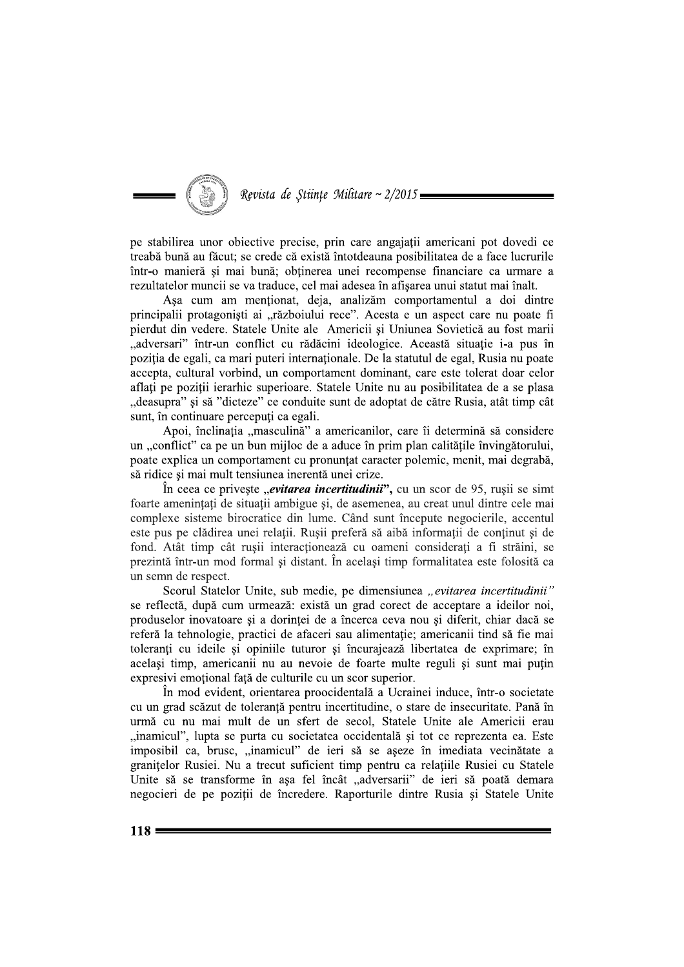

pe stabilirea unor obiective precise, prin care angajații americani pot dovedi ce treabă bună au făcut; se crede că există întotdeauna posibilitatea de a face lucrurile într-o manieră și mai bună; obtinerea unei recompense financiare ca urmare a rezultatelor muncii se va traduce, cel mai adesea în afișarea unui statut mai înalt.

Asa cum am mentionat, deja, analizăm comportamentul a doi dintre principalii protagoniști ai "războiului rece". Acesta e un aspect care nu poate fi pierdut din vedere. Statele Unite ale Americii și Uniunea Sovietică au fost marii "adversari" într-un conflict cu rădăcini ideologice. Această situație i-a pus în poziția de egali, ca mari puteri internaționale. De la statutul de egal, Rusia nu poate accepta, cultural vorbind, un comportament dominant, care este tolerat doar celor aflați pe poziții ierarhic superioare. Statele Unite nu au posibilitatea de a se plasa "deasupra" și să "dicteze" ce conduite sunt de adoptat de către Rusia, atât timp cât sunt, în continuare percepuți ca egali.

Apoi, înclinația "masculină" a americanilor, care îi determină să considere un "conflict" ca pe un bun mijloc de a aduce în prim plan calitățile învingătorului, poate explica un comportament cu pronuntat caracter polemic, menit, mai degrabă, să ridice și mai mult tensiunea inerentă unei crize.

În ceea ce privește "*evitarea incertitudinii*", cu un scor de 95, rușii se simt foarte amenințați de situații ambigue și, de asemenea, au creat unul dintre cele mai complexe sisteme birocratice din lume. Când sunt începute negocierile, accentul este pus pe clădirea unei relații. Rușii preferă să aibă informații de conținut și de fond. Atât timp cât rusii interactionează cu oameni considerati a fi străini, se prezintă într-un mod formal și distant. În același timp formalitatea este folosită ca un semn de respect.

Scorul Statelor Unite, sub medie, pe dimensiunea "evitarea incertitudinii" se reflectă, după cum urmează: există un grad corect de acceptare a ideilor noi, produselor inovatoare și a dorinței de a încerca ceva nou și diferit, chiar dacă se referă la tehnologie, practici de afaceri sau alimentație; americanii tind să fie mai toleranți cu ideile și opiniile tuturor și încurajează libertatea de exprimare; în același timp, americanii nu au nevoie de foarte multe reguli și sunt mai puțin expresivi emotional față de culturile cu un scor superior.

În mod evident, orientarea proocidentală a Ucrainei induce, într-o societate cu un grad scăzut de toleranță pentru incertitudine, o stare de insecuritate. Pană în urmă cu nu mai mult de un sfert de secol, Statele Unite ale Americii erau "inamicul", lupta se purta cu societatea occidentală și tot ce reprezenta ea. Este imposibil ca, brusc, "inamicul" de ieri să se aseze în imediata vecinătate a granitelor Rusiei. Nu a trecut suficient timp pentru ca relațiile Rusiei cu Statele Unite să se transforme în așa fel încât "adversarii" de ieri să poată demara negocieri de pe poziții de încredere. Raporturile dintre Rusia și Statele Unite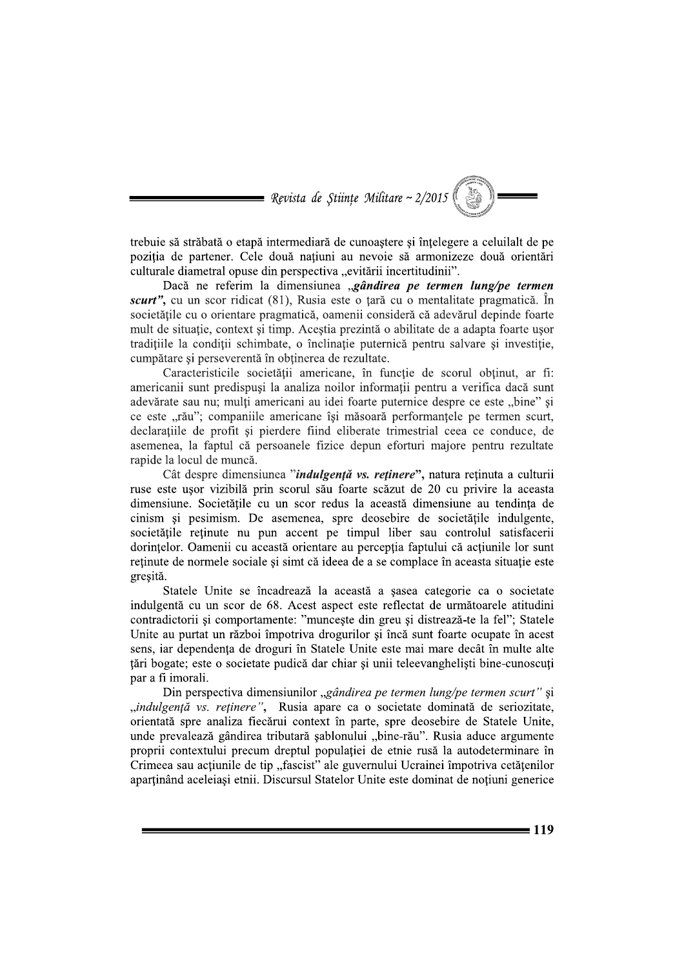

trebuie să străbată o etapă intermediară de cunoaștere și înțelegere a celuilalt de pe poziția de partener. Cele două națiuni au nevoie să armonizeze două orientări culturale diametral opuse din perspectiva "evitării incertitudinii".

Dacă ne referim la dimensiunea "gândirea pe termen lung/pe termen *scurt*", cu un scor ridicat (81), Rusia este o tară cu o mentalitate pragmatică. În societățile cu o orientare pragmatică, oamenii consideră că adevărul depinde foarte mult de situație, context și timp. Aceștia prezintă o abilitate de a adapta foarte usor tradițiile la condiții schimbate, o înclinație puternică pentru salvare și investiție, cumpătare și perseverentă în obținerea de rezultate.

Caracteristicile societății americane, în funcție de scorul obținut, ar fi: americanii sunt predispusi la analiza noilor informații pentru a verifica dacă sunt adevărate sau nu; mulți americani au idei foarte puternice despre ce este "bine" și ce este "rău"; companiile americane își măsoară performanțele pe termen scurt, declaratiile de profit și pierdere fiind eliberate trimestrial ceea ce conduce, de asemenea, la faptul că persoanele fizice depun eforturi majore pentru rezultate rapide la locul de muncă.

Cât despre dimensiunea "*indulgență vs. reținere*", natura reținuta a culturii ruse este ușor vizibilă prin scorul său foarte scăzut de 20 cu privire la aceasta dimensiune. Societățile cu un scor redus la această dimensiune au tendința de cinism și pesimism. De asemenea, spre deosebire de societățile indulgente, societățile reținute nu pun accent pe timpul liber sau controlul satisfacerii dorintelor. Oamenii cu această orientare au perceptia faptului că actiunile lor sunt retinute de normele sociale si simt că ideea de a se complace în aceasta situatie este gresită.

Statele Unite se încadrează la această a șasea categorie ca o societate indulgentă cu un scor de 68. Acest aspect este reflectat de următoarele atitudini contradictorii și comportamente: "muncește din greu și distrează-te la fel"; Statele Unite au purtat un război împotriva drogurilor și încă sunt foarte ocupate în acest sens, iar dependența de droguri în Statele Unite este mai mare decât în multe alte tări bogate; este o societate pudică dar chiar și unii teleevangheliști bine-cunoscuți par a fi imorali.

Din perspectiva dimensiunilor "gândirea pe termen lung/pe termen scurt" și "indulgență vs. reținere", Rusia apare ca o societate dominată de seriozitate, orientată spre analiza fiecărui context în parte, spre deosebire de Statele Unite, unde prevalează gândirea tributară șablonului "bine-rău". Rusia aduce argumente proprii contextului precum dreptul populatiei de etnie rusă la autodeterminare în Crimeea sau acțiunile de tip "fascist" ale guvernului Ucrainei împotriva cetățenilor apartinând aceleiasi etnii. Discursul Statelor Unite este dominat de notiuni generice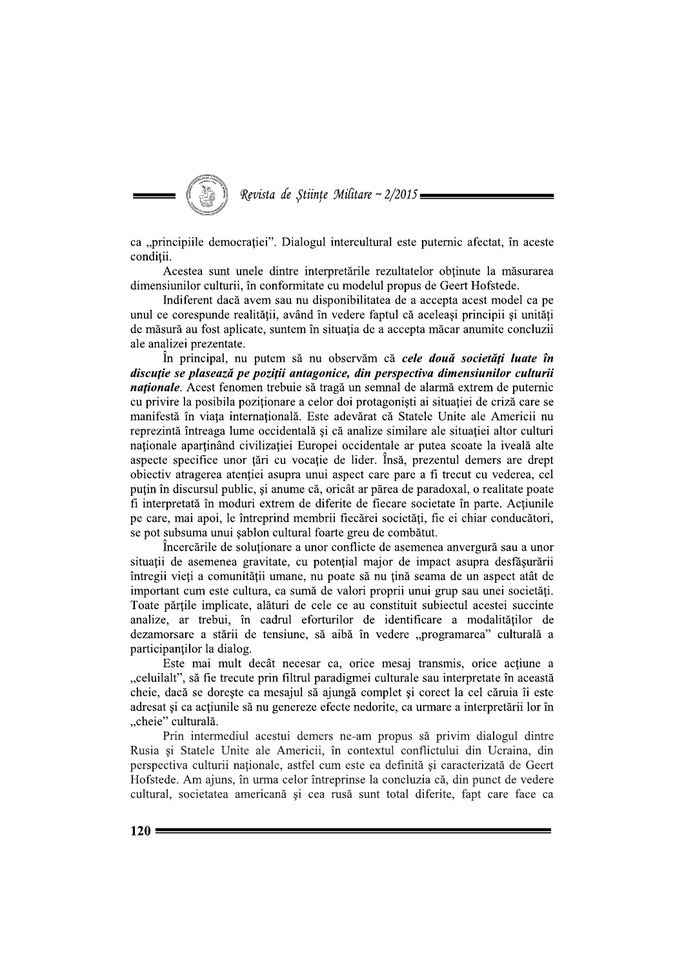

ca "principiile democrației". Dialogul intercultural este puternic afectat, în aceste conditii.

Acestea sunt unele dintre interpretările rezultatelor obtinute la măsurarea dimensiunilor culturii, în conformitate cu modelul propus de Geert Hofstede.

Indiferent daçã avem sau nu disponibilitatea de a accepta acest model ca pe unul ce corespunde realității, având în vedere faptul că aceleași principii și unități de măsură au fost aplicate, suntem în situația de a accepta măcar anumite concluzii ale analizei prezentate.

În principal, nu putem să nu observăm că cele două societăți luate în discuție se plasează pe poziții antagonice, din perspectiva dimensiunilor culturii *naționale*. Acest fenomen trebuie să tragă un semnal de alarmă extrem de puternic cu privire la posibila poziționare a celor doi protagoniști ai situației de criză care se manifestă în viata internatională. Este adevărat că Statele Unite ale Americii nu reprezintă întreaga lume occidentală și că analize similare ale situației altor culturi nationale apartinând civilizatiei Europei occidentale ar putea scoate la iveală alte aspecte specifice unor tări cu vocație de lider. Însă, prezentul demers are drept obiectiv atragerea atenției asupra unui aspect care pare a fi trecut cu vederea, cel puțin în discursul public, și anume că, oricât ar părea de paradoxal, o realitate poate fi interpretată în moduri extrem de diferite de fiecare societate în parte. Acțiunile pe care, mai apoi, le întreprind membrii fiecărei societăți, fie ei chiar conducători, se pot subsuma unui șablon cultural foarte greu de combătut.

Încercările de solutionare a unor conflicte de asemenea anvergură sau a unor situatii de asemenea gravitate, cu potential major de impact asupra desfăsurării întregii vieți a comunității umane, nu poate să nu țină seama de un aspect atât de important cum este cultura, ca sumă de valori proprii unui grup sau unei societăți. Toate părțile implicate, alături de cele ce au constituit subiectul acestei succinte analize, ar trebui, în cadrul eforturilor de identificare a modalităților de dezamorsare a stării de tensiune, să aibă în vedere "programarea" culturală a participanților la dialog.

Este mai mult decât necesar ca, orice mesaj transmis, orice acțiune a "celuilalt", să fie trecute prin filtrul paradigmei culturale sau interpretate în această cheie, dacă se dorește ca mesajul să ajungă complet și corect la cel căruia îi este adresat și ca acțiunile să nu genereze efecte nedorite, ca urmare a interpretării lor în "cheie" culturală.

Prin intermediul acestui demers ne-am propus să privim dialogul dintre Rusia si Statele Unite ale Americii, în contextul conflictului din Ucraina, din perspectiva culturii naționale, astfel cum este ea definită și caracterizată de Geert Hofstede. Am ajuns, în urma celor întreprinse la concluzia că, din punct de vedere cultural, societatea americană și cea rusă sunt total diferite, fapt care face ca